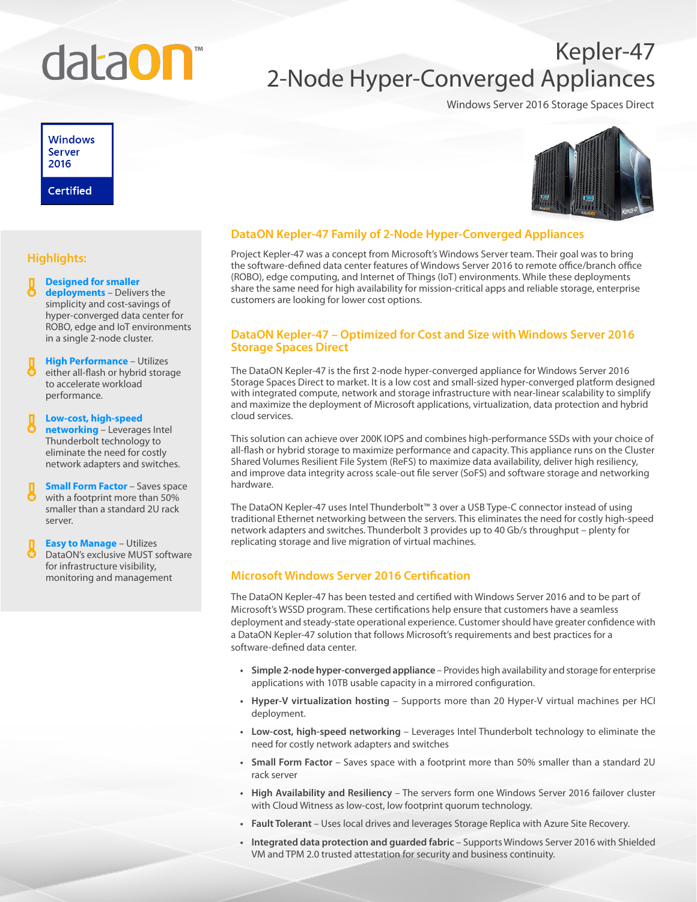# data**On**

## Kepler-47 2-Node Hyper-Converged Appliances

Windows Server 2016 Storage Spaces Direct

### **Windows Server** 2016 **Certified**



#### **DataON Kepler-47 Family of 2-Node Hyper-Converged Appliances**

Project Kepler-47 was a concept from Microsoft's Windows Server team. Their goal was to bring the software-defined data center features of Windows Server 2016 to remote office/branch office (ROBO), edge computing, and Internet of Things (IoT) environments. While these deployments share the same need for high availability for mission-critical apps and reliable storage, enterprise customers are looking for lower cost options.

#### **DataON Kepler-47 – Optimized for Cost and Size with Windows Server 2016 Storage Spaces Direct**

The DataON Kepler-47 is the first 2-node hyper-converged appliance for Windows Server 2016 Storage Spaces Direct to market. It is a low cost and small-sized hyper-converged platform designed with integrated compute, network and storage infrastructure with near-linear scalability to simplify and maximize the deployment of Microsoft applications, virtualization, data protection and hybrid cloud services.

This solution can achieve over 200K IOPS and combines high-performance SSDs with your choice of all-flash or hybrid storage to maximize performance and capacity. This appliance runs on the Cluster Shared Volumes Resilient File System (ReFS) to maximize data availability, deliver high resiliency, and improve data integrity across scale-out file server (SoFS) and software storage and networking hardware.

The DataON Kepler-47 uses Intel Thunderbolt™ 3 over a USB Type-C connector instead of using traditional Ethernet networking between the servers. This eliminates the need for costly high-speed network adapters and switches. Thunderbolt 3 provides up to 40 Gb/s throughput – plenty for replicating storage and live migration of virtual machines.

#### **Microsoft Windows Server 2016 Certification**

The DataON Kepler-47 has been tested and certified with Windows Server 2016 and to be part of Microsoft's WSSD program. These certifications help ensure that customers have a seamless deployment and steady-state operational experience. Customer should have greater confidence with a DataON Kepler-47 solution that follows Microsoft's requirements and best practices for a software-defined data center.

- **• Simple 2-node hyper-converged appliance** Provides high availability and storage for enterprise applications with 10TB usable capacity in a mirrored configuration.
- **• Hyper-V virtualization hosting** Supports more than 20 Hyper-V virtual machines per HCI deployment.
- **• Low-cost, high-speed networking**  Leverages Intel Thunderbolt technology to eliminate the need for costly network adapters and switches
- **• Small Form Factor** Saves space with a footprint more than 50% smaller than a standard 2U rack server
- **• High Availability and Resiliency**  The servers form one Windows Server 2016 failover cluster with Cloud Witness as low-cost, low footprint quorum technology.
- **• Fault Tolerant** Uses local drives and leverages Storage Replica with Azure Site Recovery.
- **• Integrated data protection and guarded fabric** Supports Windows Server 2016 with Shielded VM and TPM 2.0 trusted attestation for security and business continuity.

#### **Highlights:**

#### **Designed for smaller deployments** – Delivers the simplicity and cost-savings of hyper-converged data center for ROBO, edge and IoT environments in a single 2-node cluster.

**High Performance** – Utilizes either all-flash or hybrid storage to accelerate workload performance.

#### **Low-cost, high-speed networking** – Leverages Intel Thunderbolt technology to eliminate the need for costly network adapters and switches.

- **Small Form Factor Saves space** with a footprint more than 50% smaller than a standard 2U rack server.
- **Easy to Manage** Utilizes DataON's exclusive MUST software for infrastructure visibility, monitoring and management